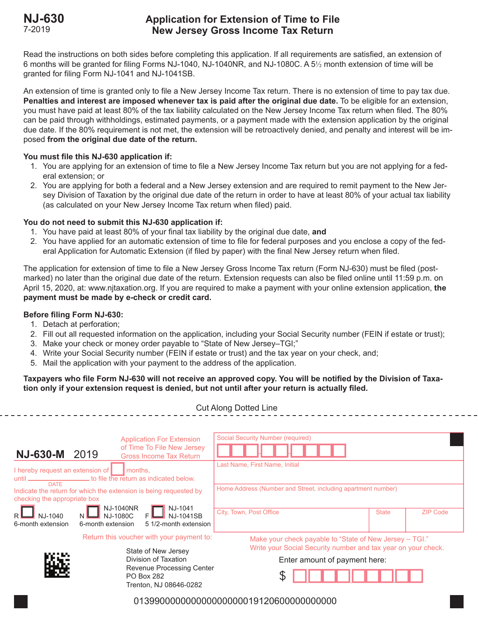# **NJ-630 Application for Extension of Time to File New Jersey Gross Income Tax Return**

Read the instructions on both sides before completing this application. If all requirements are satisfied, an extension of 6 months will be granted for filing Forms NJ-1040, NJ-1040NR, and NJ-1080C. A 5½ month extension of time will be granted for filing Form NJ-1041 and NJ-1041SB.

An extension of time is granted only to file a New Jersey Income Tax return. There is no extension of time to pay tax due. **Penalties and interest are imposed whenever tax is paid after the original due date.** To be eligible for an extension, you must have paid at least 80% of the tax liability calculated on the New Jersey Income Tax return when filed. The 80% can be paid through withholdings, estimated payments, or a payment made with the extension application by the original due date. If the 80% requirement is not met, the extension will be retroactively denied, and penalty and interest will be imposed **from the original due date of the return.**

# **You must file this NJ-630 application if:**

- 1. You are applying for an extension of time to file a New Jersey Income Tax return but you are not applying for a federal extension; or
- 2. You are applying for both a federal and a New Jersey extension and are required to remit payment to the New Jersey Division of Taxation by the original due date of the return in order to have at least 80% of your actual tax liability (as calculated on your New Jersey Income Tax return when filed) paid.

# **You do not need to submit this NJ-630 application if:**

- 1. You have paid at least 80% of your final tax liability by the original due date, **and**
- 2. You have applied for an automatic extension of time to file for federal purposes and you enclose a copy of the federal Application for Automatic Extension (if filed by paper) with the final New Jersey return when filed.

The application for extension of time to file a New Jersey Gross Income Tax return (Form NJ-630) must be filed (postmarked) no later than the original due date of the return. Extension requests can also be filed online until 11:59 p.m. on April 15, 2020, at: www.njtaxation.org. If you are required to make a payment with your online extension application, **the payment must be made by e-check or credit card.**

# **Before filing Form NJ-630:**

- 1. Detach at perforation;
- 2. Fill out all requested information on the application, including your Social Security number (FEIN if estate or trust);
- 3. Make your check or money order payable to "State of New Jersey–TGI;"
- 4. Write your Social Security number (FEIN if estate or trust) and the tax year on your check, and;
- 5. Mail the application with your payment to the address of the application.

### **Taxpayers who file Form NJ-630 will not receive an approved copy. You will be notified by the Division of Taxation only if your extension request is denied, but not until after your return is actually filed.**

Cut Along Dotted Line

|                                                                                                                                                                                                                                          |                                                                          | <b>Application For Extension</b>                             | <b>Social Security Number (required)</b>                                                                                 |  |  |
|------------------------------------------------------------------------------------------------------------------------------------------------------------------------------------------------------------------------------------------|--------------------------------------------------------------------------|--------------------------------------------------------------|--------------------------------------------------------------------------------------------------------------------------|--|--|
| <b>NJ-630-M</b>                                                                                                                                                                                                                          | 2019                                                                     | of Time To File New Jersey<br><b>Gross Income Tax Return</b> |                                                                                                                          |  |  |
| I hereby request an extension of<br>months.<br>until ________________________ to file the return as indicated below.<br><b>DATE</b><br>Indicate the return for which the extension is being requested by<br>checking the appropriate box |                                                                          |                                                              | Last Name, First Name, Initial<br>Home Address (Number and Street, including apartment number)                           |  |  |
|                                                                                                                                                                                                                                          |                                                                          |                                                              |                                                                                                                          |  |  |
|                                                                                                                                                                                                                                          | Return this voucher with your payment to:                                | State of New Jersey                                          | Make your check payable to "State of New Jersey – TGI."<br>Write your Social Security number and tax year on your check. |  |  |
|                                                                                                                                                                                                                                          |                                                                          | Division of Taxation                                         | Enter amount of payment here:                                                                                            |  |  |
|                                                                                                                                                                                                                                          | Revenue Processing Center<br><b>PO Box 282</b><br>Trenton, NJ 08646-0282 |                                                              | P                                                                                                                        |  |  |
| 0139900000000000000000019120600000000000                                                                                                                                                                                                 |                                                                          |                                                              |                                                                                                                          |  |  |